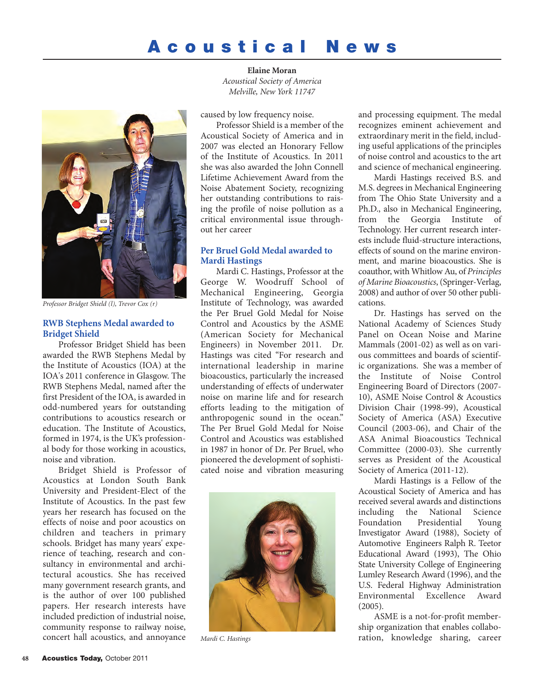# **Acoustical News**

**Elaine Moran** *Acoustical Society of America Melville, New York 11747*



*Professor Bridget Shield (l), Trevor Cox (r)*

#### **RWB Stephens Medal awarded to Bridget Shield**

Professor Bridget Shield has been awarded the RWB Stephens Medal by the Institute of Acoustics (IOA) at the IOA's 2011 conference in Glasgow. The RWB Stephens Medal, named after the first President of the IOA, is awarded in odd-numbered years for outstanding contributions to acoustics research or education. The Institute of Acoustics, formed in 1974, is the UK's professional body for those working in acoustics, noise and vibration.

Bridget Shield is Professor of Acoustics at London South Bank University and President-Elect of the Institute of Acoustics. In the past few years her research has focused on the effects of noise and poor acoustics on children and teachers in primary schools. Bridget has many years' experience of teaching, research and consultancy in environmental and architectural acoustics. She has received many government research grants, and is the author of over 100 published papers. Her research interests have included prediction of industrial noise, community response to railway noise, concert hall acoustics, and annoyance

caused by low frequency noise.

Professor Shield is a member of the Acoustical Society of America and in 2007 was elected an Honorary Fellow of the Institute of Acoustics. In 2011 she was also awarded the John Connell Lifetime Achievement Award from the Noise Abatement Society, recognizing her outstanding contributions to raising the profile of noise pollution as a critical environmental issue throughout her career

### **Per Bruel Gold Medal awarded to Mardi Hastings**

Mardi C. Hastings, Professor at the George W. Woodruff School of Mechanical Engineering, Georgia Institute of Technology, was awarded the Per Bruel Gold Medal for Noise Control and Acoustics by the ASME (American Society for Mechanical Engineers) in November 2011. Dr. Hastings was cited "For research and international leadership in marine bioacoustics, particularly the increased understanding of effects of underwater noise on marine life and for research efforts leading to the mitigation of anthropogenic sound in the ocean." The Per Bruel Gold Medal for Noise Control and Acoustics was established in 1987 in honor of Dr. Per Bruel, who pioneered the development of sophisticated noise and vibration measuring



*Mardi C. Hastings*

and processing equipment. The medal recognizes eminent achievement and extraordinary merit in the field, including useful applications of the principles of noise control and acoustics to the art and science of mechanical engineering.

Mardi Hastings received B.S. and M.S. degrees in Mechanical Engineering from The Ohio State University and a Ph.D., also in Mechanical Engineering, from the Georgia Institute of Technology. Her current research interests include fluid-structure interactions, effects of sound on the marine environment, and marine bioacoustics. She is coauthor, with Whitlow Au, of *Principles of Marine Bioacoustics*, (Springer-Verlag, 2008) and author of over 50 other publications.

Dr. Hastings has served on the National Academy of Sciences Study Panel on Ocean Noise and Marine Mammals (2001-02) as well as on various committees and boards of scientific organizations. She was a member of the Institute of Noise Control Engineering Board of Directors (2007- 10), ASME Noise Control & Acoustics Division Chair (1998-99), Acoustical Society of America (ASA) Executive Council (2003-06), and Chair of the ASA Animal Bioacoustics Technical Committee (2000-03). She currently serves as President of the Acoustical Society of America (2011-12).

Mardi Hastings is a Fellow of the Acoustical Society of America and has received several awards and distinctions including the National Science Foundation Presidential Young Investigator Award (1988), Society of Automotive Engineers Ralph R. Teetor Educational Award (1993), The Ohio State University College of Engineering Lumley Research Award (1996), and the U.S. Federal Highway Administration Environmental Excellence Award (2005).

ASME is a not-for-profit membership organization that enables collaboration, knowledge sharing, career